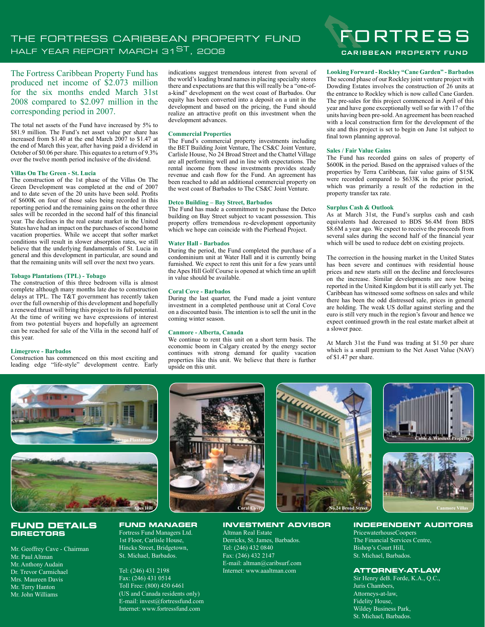# THE FORTRESS CARIBBEAN PROPERTY FUND HALF YEAR REPORT MARCH 31ST, 2008

The Fortress Caribbean Property Fund has produced net income of \$2.073 million for the six months ended March 31st 2008 compared to \$2.097 million in the corresponding period in 2007.

The total net assets of the Fund have increased by 5% to \$81.9 million. The Fund's net asset value per share has increased from \$1.40 at the end March 2007 to \$1.47 at the end of March this year, after having paid a dividend in October of \$0.06 per share. This equates to a return of 9.3% over the twelve month period inclusive of the dividend.

#### **Villas On The Green - St. Lucia**

The construction of the 1st phase of the Villas On The Green Development was completed at the end of 2007 and to date seven of the 20 units have been sold. Profits of \$600K on four of those sales being recorded in this reporting period and the remaining gains on the other three sales will be recorded in the second half of this financial year. The declines in the real estate market in the United States have had an impact on the purchases of second home vacation properties. While we accept that softer market conditions will result in slower absorption rates, we still believe that the underlying fundamentals of St. Lucia in general and this development in particular, are sound and that the remaining units will sell over the next two years.

#### **Tobago Plantations (TPL) - Tobago**

The construction of this three bedroom villa is almost complete although many months late due to construction delays at TPL. The T&T government has recently taken over the full ownership of this development and hopefully a renewed thrust will bring this project to its full potential. At the time of writing we have expressions of interest from two potential buyers and hopefully an agreement can be reached for sale of the Villa in the second half of this year.

#### **Limegrove - Barbados**

Construction has commenced on this most exciting and leading edge "life-style" development centre. Early indications suggest tremendous interest from several of the world's leading brand names in placing specialty stores there and expectations are that this will really be a "one-ofa-kind" development on the west coast of Barbados. Our equity has been converted into a deposit on a unit in the development and based on the pricing, the Fund should realize an attractive profit on this investment when the development advances.

#### **Commercial Properties**

The Fund's commercial property investments including the BET Building Joint Venture, The CS&C Joint Venture, Carlisle House, No 24 Broad Street and the Chattel Village are all performing well and in line with expectations. The rental income from these investments provides steady revenue and cash flow for the Fund. An agreement has been reached to add an additional commercial property on the west coast of Barbados to The CS&C Joint Venture.

#### **Detco Building – Bay Street, Barbados**

The Fund has made a commitment to purchase the Detco building on Bay Street subject to vacant possession. This property offers tremendous re-development opportunity which we hope can coincide with the Pierhead Project.

#### **Water Hall - Barbados**

During the period, the Fund completed the purchase of a condominium unit at Water Hall and it is currently being furnished. We expect to rent this unit for a few years until the Apes Hill Golf Course is opened at which time an uplift in value should be available.

## **Coral Cove - Barbados**

During the last quarter, the Fund made a joint venture investment in a completed penthouse unit at Coral Cove on a discounted basis. The intention is to sell the unit in the coming winter season.

#### **Canmore - Alberta, Canada**

We continue to rent this unit on a short term basis. The economic boom in Calgary created by the energy sector continues with strong demand for quality vacation properties like this unit. We believe that there is further upside on this unit.



CARIBBEAN PROPERTY FUND

#### **Looking Forward - Rockley "Cane Garden" - Barbados** The second phase of our Rockley joint venture project with Dowding Estates involves the construction of 26 units at the entrance to Rockley which is now called Cane Garden. The pre-sales for this project commenced in April of this year and have gone exceptionally well so far with 17 of the units having been pre-sold. An agreement has been reached with a local construction firm for the development of the site and this project is set to begin on June 1st subject to final town planning approval.

#### **Sales / Fair Value Gains**

The Fund has recorded gains on sales of property of \$600K in the period. Based on the appraised values of the properties by Terra Caribbean, fair value gains of \$15K were recorded compared to \$633K in the prior period, which was primarily a result of the reduction in the property transfer tax rate.

#### **Surplus Cash & Outlook**

As at March 31st, the Fund's surplus cash and cash equivalents had decreased to BDS \$6.4M from BDS \$8.6M a year ago. We expect to receive the proceeds from several sales during the second half of the financial year which will be used to reduce debt on existing projects.

The correction in the housing market in the United States has been severe and continues with residential house prices and new starts still on the decline and foreclosures on the increase. Similar developments are now being reported in the United Kingdom but it is still early yet. The Caribbean has witnessed some softness on sales and while there has been the odd distressed sale, prices in general are holding. The weak US dollar against sterling and the euro is still very much in the region's favour and hence we expect continued growth in the real estate market albeit at a slower pace.

At March 31st the Fund was trading at \$1.50 per share which is a small premium to the Net Asset Value (NAV) of \$1.47 per share.



## **FUND DETAILS DIRECTORS**

Mr. Geoffrey Cave - Chairman Mr. Paul Altman Mr. Anthony Audain Dr. Trevor Carmichael Mrs. Maureen Davis Mr. Terry Hanton Mr. John Williams



## **INVESTMENT ADVISOR**

Altman Real Estate Derricks, St. James, Barbados. Tel: (246) 432 0840 Fax: (246) 432 2147 E-mail: altman@caribsurf.com Internet: www.aaaltman.com







#### **INDEPENDENT AUDITORS**

PricewaterhouseCoopers The Financial Services Centre, Bishop's Court Hill, St. Michael, Barbados.

## **ATTORNEY-AT-LAW**

Sir Henry deB. Forde, K.A., Q.C., Juris Chambers, Attorneys-at-law, Fidelity House, Wildey Business Park, St. Michael, Barbados.

Tel: (246) 431 2198 Fax: (246) 431 0514 Toll Free: (800) 450 6461 (US and Canada residents only) E-mail: invest@fortressfund.com

Internet: www.fortressfund.com

**FUND MANAGER** Fortress Fund Managers Ltd. 1st Floor, Carlisle House, Hincks Street, Bridgetown, St. Michael, Barbados.